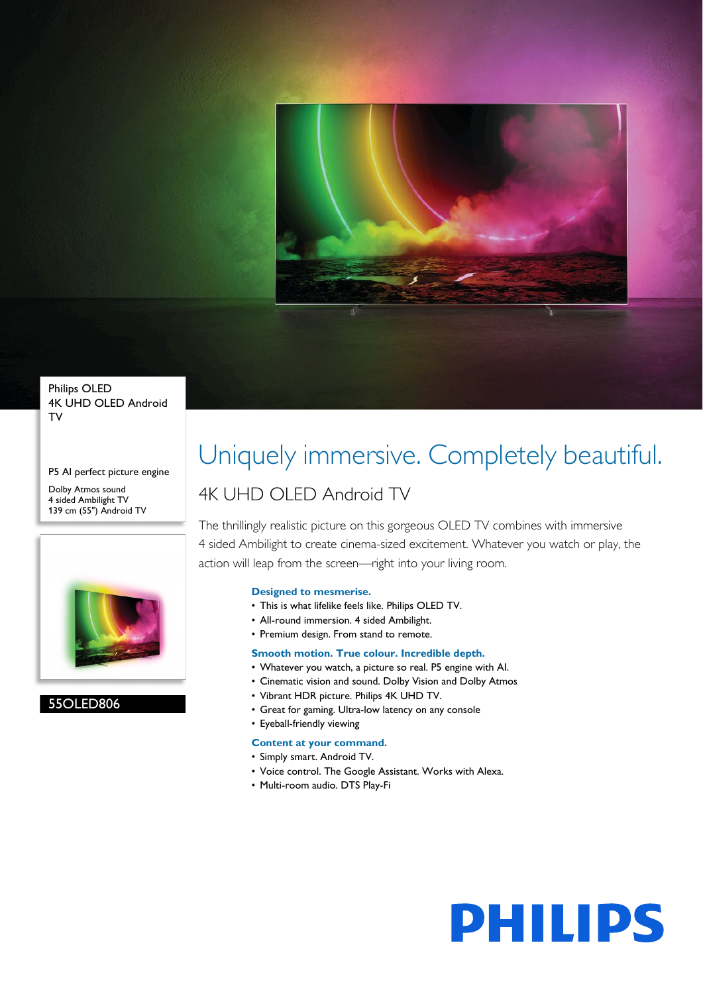

Philips OLED 4K UHD OLED Android TV

P5 AI perfect picture engine Dolby Atmos sound 4 sided Ambilight TV

139 cm (55") Android TV



### 55OLED806

# Uniquely immersive. Completely beautiful.

### 4K UHD OLED Android TV

The thrillingly realistic picture on this gorgeous OLED TV combines with immersive 4 sided Ambilight to create cinema-sized excitement. Whatever you watch or play, the action will leap from the screen—right into your living room.

### **Designed to mesmerise.**

- This is what lifelike feels like. Philips OLED TV.
- All-round immersion. 4 sided Ambilight.
- Premium design. From stand to remote.

### **Smooth motion. True colour. Incredible depth.**

- Whatever you watch, a picture so real. P5 engine with AI.
- Cinematic vision and sound. Dolby Vision and Dolby Atmos
- Vibrant HDR picture. Philips 4K UHD TV.
- Great for gaming. Ultra-low latency on any console

### • Eyeball-friendly viewing

- **Content at your command.**
- Simply smart. Android TV.
- Voice control. The Google Assistant. Works with Alexa.
- Multi-room audio. DTS Play-Fi

# **PHILIPS**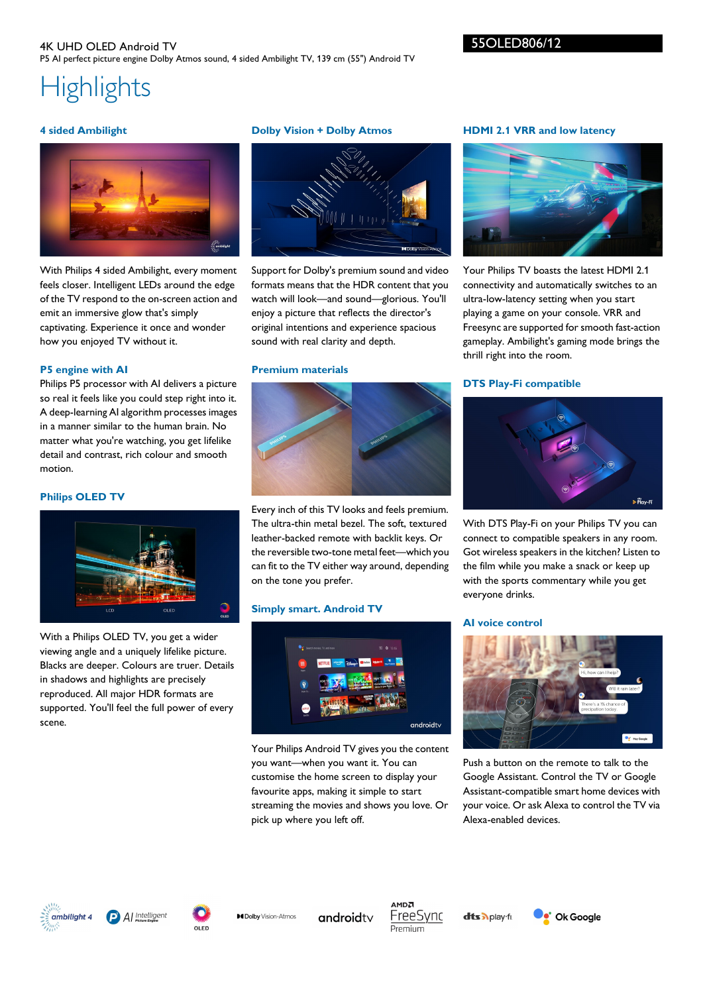### 4K UHD OLED Android TV P5 AI perfect picture engine Dolby Atmos sound, 4 sided Ambilight TV, 139 cm (55") Android TV

### 55OLED806/12

## **Highlights**

### **4 sided Ambilight**



With Philips 4 sided Ambilight, every moment feels closer. Intelligent LEDs around the edge of the TV respond to the on-screen action and emit an immersive glow that's simply captivating. Experience it once and wonder how you enjoyed TV without it.

### **P5 engine with AI**

Philips P5 processor with AI delivers a picture so real it feels like you could step right into it. A deep-learning AI algorithm processes images in a manner similar to the human brain. No matter what you're watching, you get lifelike detail and contrast, rich colour and smooth motion.

### **Philips OLED TV**



With a Philips OLED TV, you get a wider viewing angle and a uniquely lifelike picture. Blacks are deeper. Colours are truer. Details in shadows and highlights are precisely reproduced. All major HDR formats are supported. You'll feel the full power of every scene.

### **Dolby Vision + Dolby Atmos**



Support for Dolby's premium sound and video formats means that the HDR content that you watch will look—and sound—glorious. You'll enjoy a picture that reflects the director's original intentions and experience spacious sound with real clarity and depth.

### **Premium materials**



Every inch of this TV looks and feels premium. The ultra-thin metal bezel. The soft, textured leather-backed remote with backlit keys. Or the reversible two-tone metal feet—which you can fit to the TV either way around, depending on the tone you prefer.

### **Simply smart. Android TV**



Your Philips Android TV gives you the content you want—when you want it. You can customise the home screen to display your favourite apps, making it simple to start streaming the movies and shows you love. Or pick up where you left off.

### **HDMI 2.1 VRR and low latency**



Your Philips TV boasts the latest HDMI 2.1 connectivity and automatically switches to an ultra-low-latency setting when you start playing a game on your console. VRR and Freesync are supported for smooth fast-action gameplay. Ambilight's gaming mode brings the thrill right into the room.

### **DTS Play-Fi compatible**



With DTS Play-Fi on your Philips TV you can connect to compatible speakers in any room. Got wireless speakers in the kitchen? Listen to the film while you make a snack or keep up with the sports commentary while you get everyone drinks.

### **AI voice control**



Push a button on the remote to talk to the Google Assistant. Control the TV or Google Assistant-compatible smart home devices with your voice. Or ask Alexa to control the TV via Alexa-enabled devices.







**MDolby** Vision Atmos androidty

MDA FreeSvnc Premium

**dts** Aplay-fr.